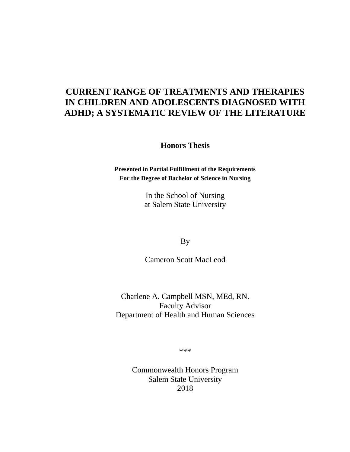# **CURRENT RANGE OF TREATMENTS AND THERAPIES IN CHILDREN AND ADOLESCENTS DIAGNOSED WITH ADHD; A SYSTEMATIC REVIEW OF THE LITERATURE**

**Honors Thesis**

**Presented in Partial Fulfillment of the Requirements For the Degree of Bachelor of Science in Nursing**

> In the School of Nursing at Salem State University

> > By

Cameron Scott MacLeod

Charlene A. Campbell MSN, MEd, RN. Faculty Advisor Department of Health and Human Sciences

\*\*\*

Commonwealth Honors Program Salem State University 2018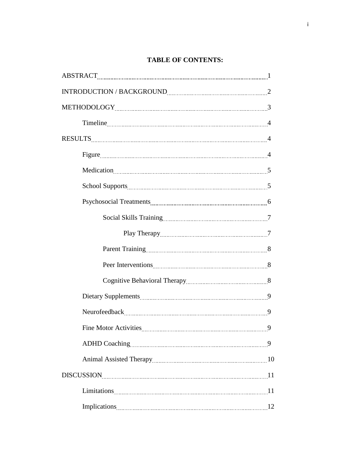# **TABLE OF CONTENTS:**

| $\verb INTRODUCTION / BACKGROWND  \textit{\_}2$ |   |
|-------------------------------------------------|---|
|                                                 |   |
|                                                 |   |
|                                                 |   |
| Figure 4                                        |   |
|                                                 |   |
|                                                 |   |
|                                                 |   |
|                                                 |   |
|                                                 |   |
|                                                 |   |
|                                                 |   |
|                                                 |   |
|                                                 |   |
|                                                 |   |
|                                                 | 9 |
|                                                 |   |
|                                                 |   |
| DISCUSSION 11                                   |   |
|                                                 |   |
|                                                 |   |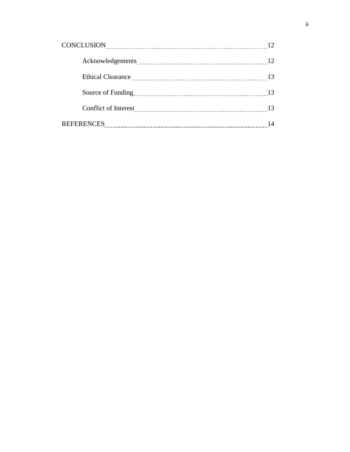| CONCLUSION EXECUTION CONCLUSION |    |
|---------------------------------|----|
|                                 | 12 |
|                                 | 13 |
|                                 | 13 |
|                                 | 13 |
| <b>REFERENCES</b>               |    |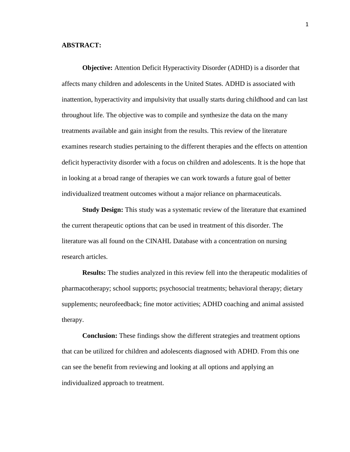#### **ABSTRACT:**

**Objective:** Attention Deficit Hyperactivity Disorder (ADHD) is a disorder that affects many children and adolescents in the United States. ADHD is associated with inattention, hyperactivity and impulsivity that usually starts during childhood and can last throughout life. The objective was to compile and synthesize the data on the many treatments available and gain insight from the results. This review of the literature examines research studies pertaining to the different therapies and the effects on attention deficit hyperactivity disorder with a focus on children and adolescents. It is the hope that in looking at a broad range of therapies we can work towards a future goal of better individualized treatment outcomes without a major reliance on pharmaceuticals.

**Study Design:** This study was a systematic review of the literature that examined the current therapeutic options that can be used in treatment of this disorder. The literature was all found on the CINAHL Database with a concentration on nursing research articles.

**Results:** The studies analyzed in this review fell into the therapeutic modalities of pharmacotherapy; school supports; psychosocial treatments; behavioral therapy; dietary supplements; neurofeedback; fine motor activities; ADHD coaching and animal assisted therapy.

**Conclusion:** These findings show the different strategies and treatment options that can be utilized for children and adolescents diagnosed with ADHD. From this one can see the benefit from reviewing and looking at all options and applying an individualized approach to treatment.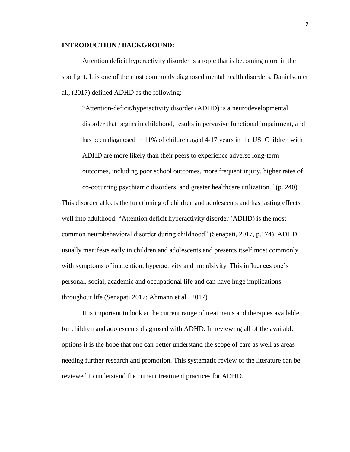#### **INTRODUCTION / BACKGROUND:**

Attention deficit hyperactivity disorder is a topic that is becoming more in the spotlight. It is one of the most commonly diagnosed mental health disorders. Danielson et al., (2017) defined ADHD as the following:

"Attention-deficit/hyperactivity disorder (ADHD) is a neurodevelopmental disorder that begins in childhood, results in pervasive functional impairment, and has been diagnosed in 11% of children aged 4-17 years in the US. Children with ADHD are more likely than their peers to experience adverse long-term outcomes, including poor school outcomes, more frequent injury, higher rates of co-occurring psychiatric disorders, and greater healthcare utilization." (p. 240).

This disorder affects the functioning of children and adolescents and has lasting effects well into adulthood. "Attention deficit hyperactivity disorder (ADHD) is the most common neurobehavioral disorder during childhood" (Senapati, 2017, p.174). ADHD usually manifests early in children and adolescents and presents itself most commonly with symptoms of inattention, hyperactivity and impulsivity. This influences one's personal, social, academic and occupational life and can have huge implications throughout life (Senapati 2017; Ahmann et al., 2017).

It is important to look at the current range of treatments and therapies available for children and adolescents diagnosed with ADHD. In reviewing all of the available options it is the hope that one can better understand the scope of care as well as areas needing further research and promotion. This systematic review of the literature can be reviewed to understand the current treatment practices for ADHD.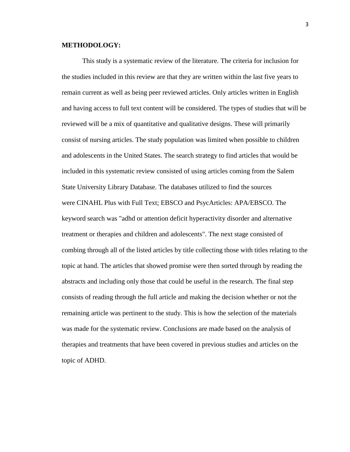#### **METHODOLOGY:**

This study is a systematic review of the literature. The criteria for inclusion for the studies included in this review are that they are written within the last five years to remain current as well as being peer reviewed articles. Only articles written in English and having access to full text content will be considered. The types of studies that will be reviewed will be a mix of quantitative and qualitative designs. These will primarily consist of nursing articles. The study population was limited when possible to children and adolescents in the United States. The search strategy to find articles that would be included in this systematic review consisted of using articles coming from the Salem State University Library Database. The databases utilized to find the sources were CINAHL Plus with Full Text; EBSCO and PsycArticles: APA/EBSCO. The keyword search was "adhd or attention deficit hyperactivity disorder and alternative treatment or therapies and children and adolescents". The next stage consisted of combing through all of the listed articles by title collecting those with titles relating to the topic at hand. The articles that showed promise were then sorted through by reading the abstracts and including only those that could be useful in the research. The final step consists of reading through the full article and making the decision whether or not the remaining article was pertinent to the study. This is how the selection of the materials was made for the systematic review. Conclusions are made based on the analysis of therapies and treatments that have been covered in previous studies and articles on the topic of ADHD.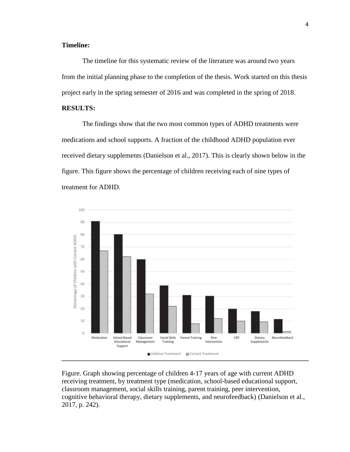## **Timeline:**

The timeline for this systematic review of the literature was around two years from the initial planning phase to the completion of the thesis. Work started on this thesis project early in the spring semester of 2016 and was completed in the spring of 2018.

## **RESULTS:**

The findings show that the two most common types of ADHD treatments were medications and school supports. A fraction of the childhood ADHD population ever received dietary supplements (Danielson et al., 2017). This is clearly shown below in the figure. This figure shows the percentage of children receiving each of nine types of treatment for ADHD.



Figure. Graph showing percentage of children 4-17 years of age with current ADHD receiving treatment, by treatment type (medication, school-based educational support, classroom management, social skills training, parent training, peer intervention, cognitive behavioral therapy, dietary supplements, and neurofeedback) (Danielson et al., 2017, p. 242).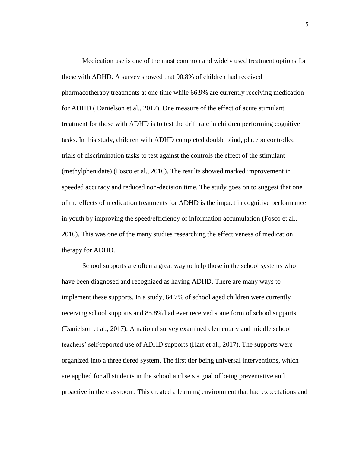Medication use is one of the most common and widely used treatment options for those with ADHD. A survey showed that 90.8% of children had received pharmacotherapy treatments at one time while 66.9% are currently receiving medication for ADHD ( Danielson et al., 2017). One measure of the effect of acute stimulant treatment for those with ADHD is to test the drift rate in children performing cognitive tasks. In this study, children with ADHD completed double blind, placebo controlled trials of discrimination tasks to test against the controls the effect of the stimulant (methylphenidate) (Fosco et al., 2016). The results showed marked improvement in speeded accuracy and reduced non-decision time. The study goes on to suggest that one of the effects of medication treatments for ADHD is the impact in cognitive performance in youth by improving the speed/efficiency of information accumulation (Fosco et al., 2016). This was one of the many studies researching the effectiveness of medication therapy for ADHD.

School supports are often a great way to help those in the school systems who have been diagnosed and recognized as having ADHD. There are many ways to implement these supports. In a study, 64.7% of school aged children were currently receiving school supports and 85.8% had ever received some form of school supports (Danielson et al., 2017). A national survey examined elementary and middle school teachers' self-reported use of ADHD supports (Hart et al., 2017). The supports were organized into a three tiered system. The first tier being universal interventions, which are applied for all students in the school and sets a goal of being preventative and proactive in the classroom. This created a learning environment that had expectations and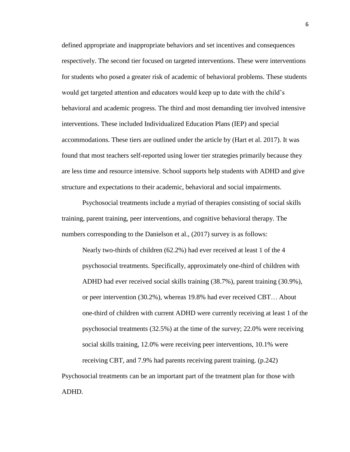defined appropriate and inappropriate behaviors and set incentives and consequences respectively. The second tier focused on targeted interventions. These were interventions for students who posed a greater risk of academic of behavioral problems. These students would get targeted attention and educators would keep up to date with the child's behavioral and academic progress. The third and most demanding tier involved intensive interventions. These included Individualized Education Plans (IEP) and special accommodations. These tiers are outlined under the article by (Hart et al. 2017). It was found that most teachers self-reported using lower tier strategies primarily because they are less time and resource intensive. School supports help students with ADHD and give structure and expectations to their academic, behavioral and social impairments.

Psychosocial treatments include a myriad of therapies consisting of social skills training, parent training, peer interventions, and cognitive behavioral therapy. The numbers corresponding to the Danielson et al., (2017) survey is as follows:

Nearly two-thirds of children (62.2%) had ever received at least 1 of the 4 psychosocial treatments. Specifically, approximately one-third of children with ADHD had ever received social skills training (38.7%), parent training (30.9%), or peer intervention (30.2%), whereas 19.8% had ever received CBT… About one-third of children with current ADHD were currently receiving at least 1 of the psychosocial treatments (32.5%) at the time of the survey; 22.0% were receiving social skills training, 12.0% were receiving peer interventions, 10.1% were receiving CBT, and 7.9% had parents receiving parent training. (p.242) Psychosocial treatments can be an important part of the treatment plan for those with

ADHD.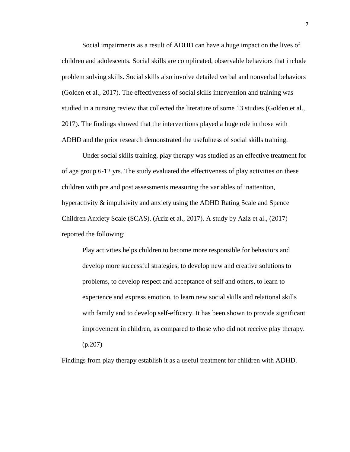Social impairments as a result of ADHD can have a huge impact on the lives of children and adolescents. Social skills are complicated, observable behaviors that include problem solving skills. Social skills also involve detailed verbal and nonverbal behaviors (Golden et al., 2017). The effectiveness of social skills intervention and training was studied in a nursing review that collected the literature of some 13 studies (Golden et al., 2017). The findings showed that the interventions played a huge role in those with ADHD and the prior research demonstrated the usefulness of social skills training.

Under social skills training, play therapy was studied as an effective treatment for of age group 6-12 yrs. The study evaluated the effectiveness of play activities on these children with pre and post assessments measuring the variables of inattention, hyperactivity & impulsivity and anxiety using the ADHD Rating Scale and Spence Children Anxiety Scale (SCAS). (Aziz et al., 2017). A study by Aziz et al., (2017) reported the following:

Play activities helps children to become more responsible for behaviors and develop more successful strategies, to develop new and creative solutions to problems, to develop respect and acceptance of self and others, to learn to experience and express emotion, to learn new social skills and relational skills with family and to develop self-efficacy. It has been shown to provide significant improvement in children, as compared to those who did not receive play therapy. (p.207)

Findings from play therapy establish it as a useful treatment for children with ADHD.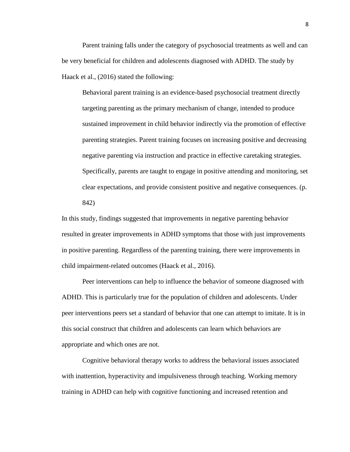Parent training falls under the category of psychosocial treatments as well and can be very beneficial for children and adolescents diagnosed with ADHD. The study by Haack et al., (2016) stated the following:

Behavioral parent training is an evidence-based psychosocial treatment directly targeting parenting as the primary mechanism of change, intended to produce sustained improvement in child behavior indirectly via the promotion of effective parenting strategies. Parent training focuses on increasing positive and decreasing negative parenting via instruction and practice in effective caretaking strategies. Specifically, parents are taught to engage in positive attending and monitoring, set clear expectations, and provide consistent positive and negative consequences. (p. 842)

In this study, findings suggested that improvements in negative parenting behavior resulted in greater improvements in ADHD symptoms that those with just improvements in positive parenting. Regardless of the parenting training, there were improvements in child impairment-related outcomes (Haack et al., 2016).

Peer interventions can help to influence the behavior of someone diagnosed with ADHD. This is particularly true for the population of children and adolescents. Under peer interventions peers set a standard of behavior that one can attempt to imitate. It is in this social construct that children and adolescents can learn which behaviors are appropriate and which ones are not.

Cognitive behavioral therapy works to address the behavioral issues associated with inattention, hyperactivity and impulsiveness through teaching. Working memory training in ADHD can help with cognitive functioning and increased retention and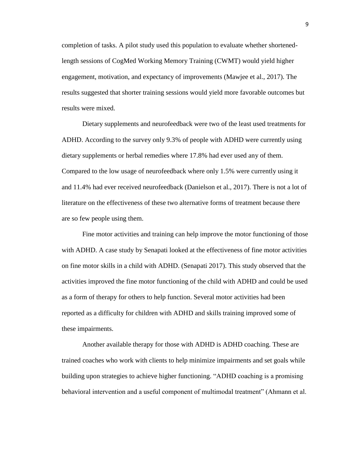completion of tasks. A pilot study used this population to evaluate whether shortenedlength sessions of CogMed Working Memory Training (CWMT) would yield higher engagement, motivation, and expectancy of improvements (Mawjee et al., 2017). The results suggested that shorter training sessions would yield more favorable outcomes but results were mixed.

Dietary supplements and neurofeedback were two of the least used treatments for ADHD. According to the survey only 9.3% of people with ADHD were currently using dietary supplements or herbal remedies where 17.8% had ever used any of them. Compared to the low usage of neurofeedback where only 1.5% were currently using it and 11.4% had ever received neurofeedback (Danielson et al., 2017). There is not a lot of literature on the effectiveness of these two alternative forms of treatment because there are so few people using them.

Fine motor activities and training can help improve the motor functioning of those with ADHD. A case study by Senapati looked at the effectiveness of fine motor activities on fine motor skills in a child with ADHD. (Senapati 2017). This study observed that the activities improved the fine motor functioning of the child with ADHD and could be used as a form of therapy for others to help function. Several motor activities had been reported as a difficulty for children with ADHD and skills training improved some of these impairments.

Another available therapy for those with ADHD is ADHD coaching. These are trained coaches who work with clients to help minimize impairments and set goals while building upon strategies to achieve higher functioning. "ADHD coaching is a promising behavioral intervention and a useful component of multimodal treatment" (Ahmann et al.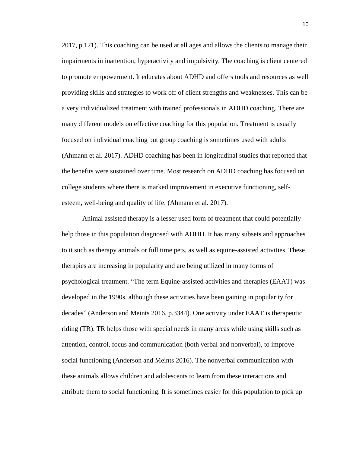2017, p.121). This coaching can be used at all ages and allows the clients to manage their impairments in inattention, hyperactivity and impulsivity. The coaching is client centered to promote empowerment. It educates about ADHD and offers tools and resources as well providing skills and strategies to work off of client strengths and weaknesses. This can be a very individualized treatment with trained professionals in ADHD coaching. There are many different models on effective coaching for this population. Treatment is usually focused on individual coaching but group coaching is sometimes used with adults (Ahmann et al. 2017). ADHD coaching has been in longitudinal studies that reported that the benefits were sustained over time. Most research on ADHD coaching has focused on college students where there is marked improvement in executive functioning, selfesteem, well-being and quality of life. (Ahmann et al. 2017).

Animal assisted therapy is a lesser used form of treatment that could potentially help those in this population diagnosed with ADHD. It has many subsets and approaches to it such as therapy animals or full time pets, as well as equine-assisted activities. These therapies are increasing in popularity and are being utilized in many forms of psychological treatment. "The term Equine-assisted activities and therapies (EAAT) was developed in the 1990s, although these activities have been gaining in popularity for decades" (Anderson and Meints 2016, p.3344). One activity under EAAT is therapeutic riding (TR). TR helps those with special needs in many areas while using skills such as attention, control, focus and communication (both verbal and nonverbal), to improve social functioning (Anderson and Meints 2016). The nonverbal communication with these animals allows children and adolescents to learn from these interactions and attribute them to social functioning. It is sometimes easier for this population to pick up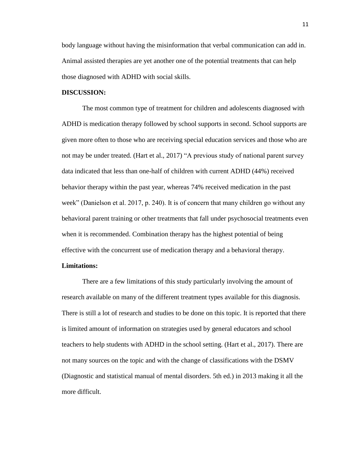body language without having the misinformation that verbal communication can add in. Animal assisted therapies are yet another one of the potential treatments that can help those diagnosed with ADHD with social skills.

#### **DISCUSSION:**

The most common type of treatment for children and adolescents diagnosed with ADHD is medication therapy followed by school supports in second. School supports are given more often to those who are receiving special education services and those who are not may be under treated. (Hart et al., 2017) "A previous study of national parent survey data indicated that less than one-half of children with current ADHD (44%) received behavior therapy within the past year, whereas 74% received medication in the past week" (Danielson et al. 2017, p. 240). It is of concern that many children go without any behavioral parent training or other treatments that fall under psychosocial treatments even when it is recommended. Combination therapy has the highest potential of being effective with the concurrent use of medication therapy and a behavioral therapy.

#### **Limitations:**

There are a few limitations of this study particularly involving the amount of research available on many of the different treatment types available for this diagnosis. There is still a lot of research and studies to be done on this topic. It is reported that there is limited amount of information on strategies used by general educators and school teachers to help students with ADHD in the school setting. (Hart et al., 2017). There are not many sources on the topic and with the change of classifications with the DSMV (Diagnostic and statistical manual of mental disorders. 5th ed.) in 2013 making it all the more difficult.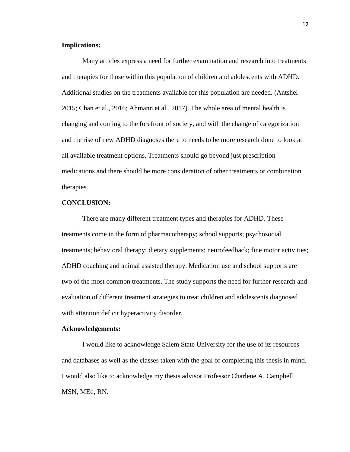### **Implications:**

Many articles express a need for further examination and research into treatments and therapies for those within this population of children and adolescents with ADHD. Additional studies on the treatments available for this population are needed. (Antshel 2015; Chan et al., 2016; Ahmann et al., 2017). The whole area of mental health is changing and coming to the forefront of society, and with the change of categorization and the rise of new ADHD diagnoses there to needs to be more research done to look at all available treatment options. Treatments should go beyond just prescription medications and there should be more consideration of other treatments or combination therapies.

### **CONCLUSION:**

There are many different treatment types and therapies for ADHD. These treatments come in the form of pharmacotherapy; school supports; psychosocial treatments; behavioral therapy; dietary supplements; neurofeedback; fine motor activities; ADHD coaching and animal assisted therapy. Medication use and school supports are two of the most common treatments. The study supports the need for further research and evaluation of different treatment strategies to treat children and adolescents diagnosed with attention deficit hyperactivity disorder.

#### **Acknowledgements:**

I would like to acknowledge Salem State University for the use of its resources and databases as well as the classes taken with the goal of completing this thesis in mind. I would also like to acknowledge my thesis advisor Professor Charlene A. Campbell MSN, MEd, RN.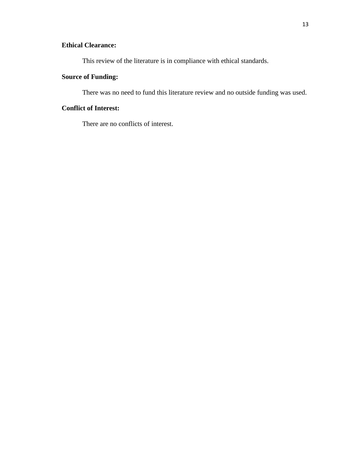# **Ethical Clearance:**

This review of the literature is in compliance with ethical standards.

# **Source of Funding:**

There was no need to fund this literature review and no outside funding was used.

# **Conflict of Interest:**

There are no conflicts of interest.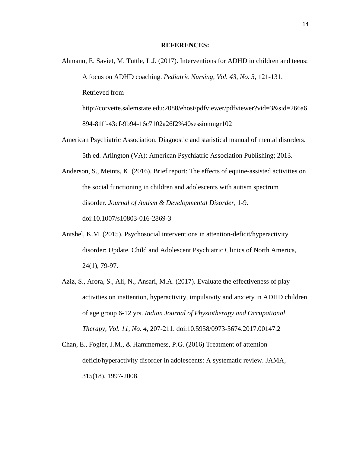#### **REFERENCES:**

- Ahmann, E. Saviet, M. Tuttle, L.J. (2017). Interventions for ADHD in children and teens: A focus on ADHD coaching. *Pediatric Nursing, Vol. 43, No. 3,* 121-131. Retrieved from http://corvette.salemstate.edu:2088/ehost/pdfviewer/pdfviewer?vid=3&sid=266a6 894-81ff-43cf-9b94-16c7102a26f2%40sessionmgr102
- American Psychiatric Association. Diagnostic and statistical manual of mental disorders. 5th ed. Arlington (VA): American Psychiatric Association Publishing; 2013.
- Anderson, S., Meints, K. (2016). Brief report: The effects of equine-assisted activities on the social functioning in children and adolescents with autism spectrum disorder. *Journal of Autism & Developmental Disorder,* 1-9. doi:10.1007/s10803-016-2869-3
- Antshel, K.M. (2015). Psychosocial interventions in attention-deficit/hyperactivity disorder: Update. Child and Adolescent Psychiatric Clinics of North America, 24(1), 79-97.
- Aziz, S., Arora, S., Ali, N., Ansari, M.A. (2017). Evaluate the effectiveness of play activities on inattention, hyperactivity, impulsivity and anxiety in ADHD children of age group 6-12 yrs. *Indian Journal of Physiotherapy and Occupational Therapy, Vol. 11, No. 4,* 207-211. doi:10.5958/0973-5674.2017.00147.2
- Chan, E., Fogler, J.M., & Hammerness, P.G. (2016) Treatment of attention deficit/hyperactivity disorder in adolescents: A systematic review. JAMA, 315(18), 1997-2008.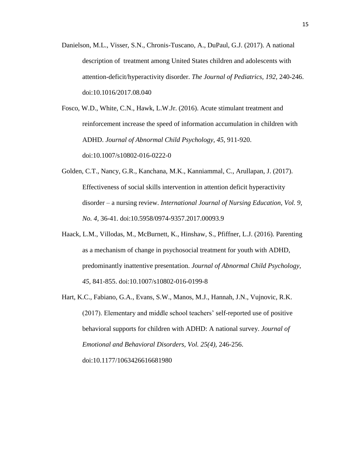Danielson, M.L., Visser, S.N., Chronis-Tuscano, A., DuPaul, G.J. (2017). A national description of treatment among United States children and adolescents with attention-deficit/hyperactivity disorder. *The Journal of Pediatrics, 192,* 240-246. doi:10.1016/2017.08.040

Fosco, W.D., White, C.N., Hawk, L.W.Jr. (2016). Acute stimulant treatment and reinforcement increase the speed of information accumulation in children with ADHD. *Journal of Abnormal Child Psychology, 45,* 911-920. doi:10.1007/s10802-016-0222-0

- Golden, C.T., Nancy, G.R., Kanchana, M.K., Kanniammal, C., Arullapan, J. (2017). Effectiveness of social skills intervention in attention deficit hyperactivity disorder – a nursing review. *International Journal of Nursing Education, Vol. 9, No. 4,* 36-41. doi:10.5958/0974-9357.2017.00093.9
- Haack, L.M., Villodas, M., McBurnett, K., Hinshaw, S., Pfiffner, L.J. (2016). Parenting as a mechanism of change in psychosocial treatment for youth with ADHD, predominantly inattentive presentation. *Journal of Abnormal Child Psychology, 45,* 841-855. doi:10.1007/s10802-016-0199-8
- Hart, K.C., Fabiano, G.A., Evans, S.W., Manos, M.J., Hannah, J.N., Vujnovic, R.K. (2017). Elementary and middle school teachers' self-reported use of positive behavioral supports for children with ADHD: A national survey. *Journal of Emotional and Behavioral Disorders, Vol. 25(4),* 246-256. doi:10.1177/1063426616681980